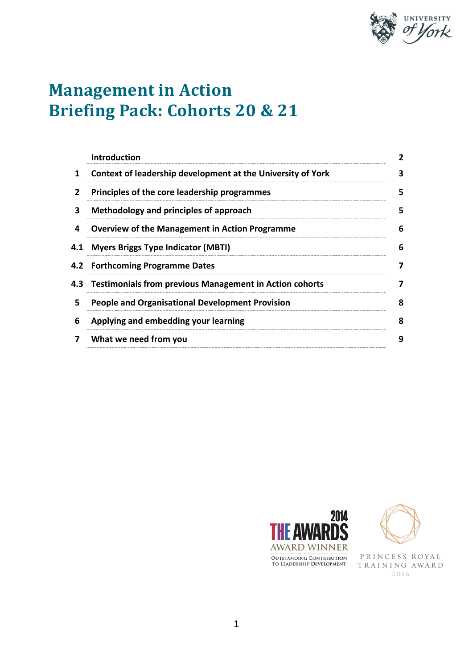

# **Management in Action Briefing Pack: Cohorts 20 & 21**

|     | <b>Introduction</b>                                         | 2 |
|-----|-------------------------------------------------------------|---|
| 1   | Context of leadership development at the University of York | 3 |
| 2   | Principles of the core leadership programmes                | 5 |
| 3   | Methodology and principles of approach                      | 5 |
| 4   | <b>Overview of the Management in Action Programme</b>       | 6 |
| 4.1 | <b>Myers Briggs Type Indicator (MBTI)</b>                   | 6 |
|     | 4.2 Forthcoming Programme Dates                             | 7 |
|     | 4.3 Testimonials from previous Management in Action cohorts | 7 |
| 5.  | <b>People and Organisational Development Provision</b>      | 8 |
| 6   | Applying and embedding your learning                        | 8 |
| 7   | What we need from you                                       | 9 |





PRINCESS ROYAL TRAINING AWARD 2016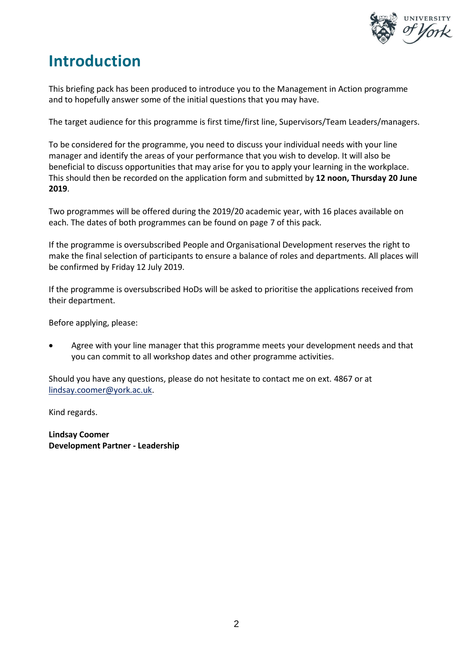

### **Introduction**

This briefing pack has been produced to introduce you to the Management in Action programme and to hopefully answer some of the initial questions that you may have.

The target audience for this programme is first time/first line, Supervisors/Team Leaders/managers.

To be considered for the programme, you need to discuss your individual needs with your line manager and identify the areas of your performance that you wish to develop. It will also be beneficial to discuss opportunities that may arise for you to apply your learning in the workplace. This should then be recorded on the application form and submitted by **12 noon, Thursday 20 June 2019**.

Two programmes will be offered during the 2019/20 academic year, with 16 places available on each. The dates of both programmes can be found on page 7 of this pack.

If the programme is oversubscribed People and Organisational Development reserves the right to make the final selection of participants to ensure a balance of roles and departments. All places will be confirmed by Friday 12 July 2019.

If the programme is oversubscribed HoDs will be asked to prioritise the applications received from their department.

Before applying, please:

• Agree with your line manager that this programme meets your development needs and that you can commit to all workshop dates and other programme activities.

Should you have any questions, please do not hesitate to contact me on ext. 4867 or at lindsay.coomer@york.ac.uk.

Kind regards.

**Lindsay Coomer Development Partner - Leadership**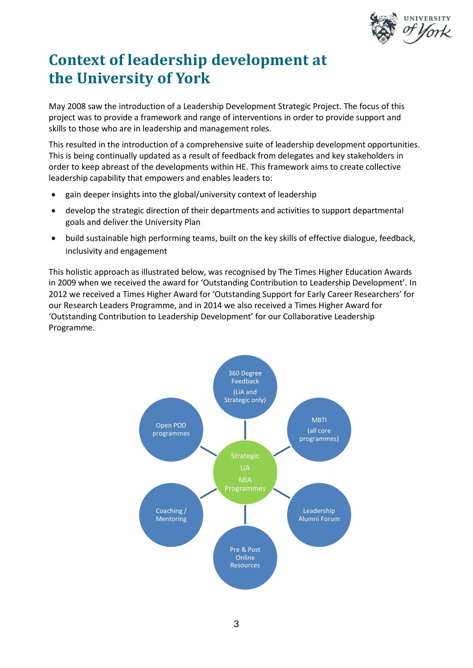

## **Context of leadership development at the University of York**

May 2008 saw the introduction of a Leadership Development Strategic Project. The focus of this project was to provide a framework and range of interventions in order to provide support and skills to those who are in leadership and management roles.

This resulted in the introduction of a comprehensive suite of leadership development opportunities. This is being continually updated as a result of feedback from delegates and key stakeholders in order to keep abreast of the developments within HE. This framework aims to create collective leadership capability that empowers and enables leaders to:

- gain deeper insights into the global/university context of leadership
- develop the strategic direction of their departments and activities to support departmental goals and deliver the University Plan
- build sustainable high performing teams, built on the key skills of effective dialogue, feedback, inclusivity and engagement

This holistic approach as illustrated below, was recognised by The Times Higher Education Awards in 2009 when we received the award for 'Outstanding Contribution to Leadership Development'. In 2012 we received a Times Higher Award for 'Outstanding Support for Early Career Researchers' for our Research Leaders Programme, and in 2014 we also received a Times Higher Award for 'Outstanding Contribution to Leadership Development' for our Collaborative Leadership Programme.

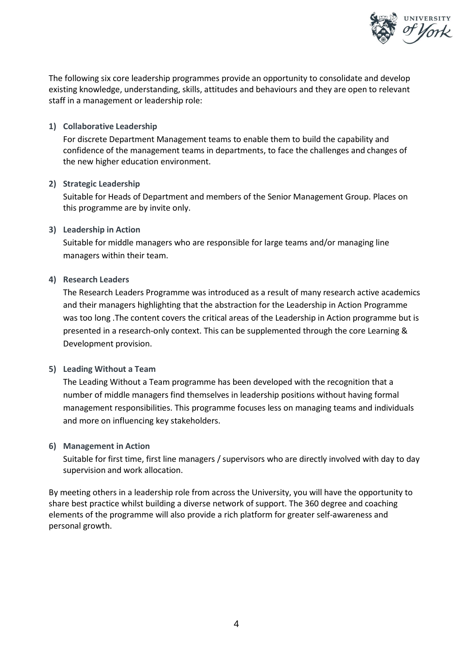

The following six core leadership programmes provide an opportunity to consolidate and develop existing knowledge, understanding, skills, attitudes and behaviours and they are open to relevant staff in a management or leadership role:

#### **1) Collaborative Leadership**

For discrete Department Management teams to enable them to build the capability and confidence of the management teams in departments, to face the challenges and changes of the new higher education environment.

#### **2) Strategic Leadership**

Suitable for Heads of Department and members of the Senior Management Group. Places on this programme are by invite only.

#### **3) Leadership in Action**

Suitable for middle managers who are responsible for large teams and/or managing line managers within their team.

#### **4) Research Leaders**

The Research Leaders Programme was introduced as a result of many research active academics and their managers highlighting that the abstraction for the Leadership in Action Programme was too long .The content covers the critical areas of the Leadership in Action programme but is presented in a research-only context. This can be supplemented through the core Learning & Development provision.

#### **5) Leading Without a Team**

The Leading Without a Team programme has been developed with the recognition that a number of middle managers find themselves in leadership positions without having formal management responsibilities. This programme focuses less on managing teams and individuals and more on influencing key stakeholders.

#### **6) Management in Action**

Suitable for first time, first line managers / supervisors who are directly involved with day to day supervision and work allocation.

By meeting others in a leadership role from across the University, you will have the opportunity to share best practice whilst building a diverse network of support. The 360 degree and coaching elements of the programme will also provide a rich platform for greater self-awareness and personal growth.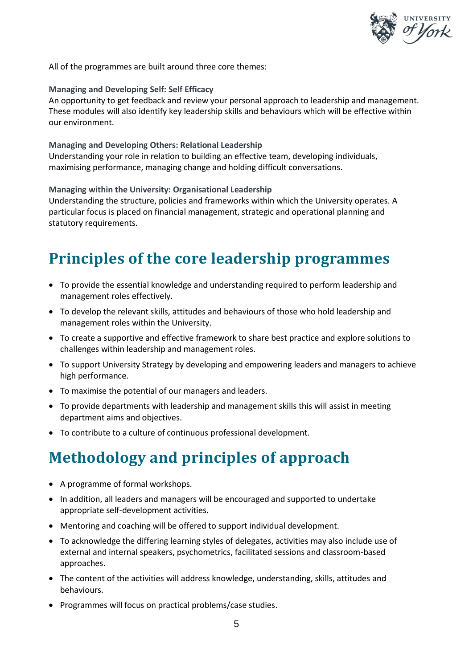

All of the programmes are built around three core themes:

#### **Managing and Developing Self: Self Efficacy**

An opportunity to get feedback and review your personal approach to leadership and management. These modules will also identify key leadership skills and behaviours which will be effective within our environment.

#### **Managing and Developing Others: Relational Leadership** Understanding your role in relation to building an effective team, developing individuals,

maximising performance, managing change and holding difficult conversations.

#### **Managing within the University: Organisational Leadership**

Understanding the structure, policies and frameworks within which the University operates. A particular focus is placed on financial management, strategic and operational planning and statutory requirements.

### **Principles of the core leadership programmes**

- To provide the essential knowledge and understanding required to perform leadership and management roles effectively.
- To develop the relevant skills, attitudes and behaviours of those who hold leadership and management roles within the University.
- To create a supportive and effective framework to share best practice and explore solutions to challenges within leadership and management roles.
- To support University Strategy by developing and empowering leaders and managers to achieve high performance.
- To maximise the potential of our managers and leaders.
- To provide departments with leadership and management skills this will assist in meeting department aims and objectives.
- To contribute to a culture of continuous professional development.

## **Methodology and principles of approach**

- A programme of formal workshops.
- In addition, all leaders and managers will be encouraged and supported to undertake appropriate self-development activities.
- Mentoring and coaching will be offered to support individual development.
- To acknowledge the differing learning styles of delegates, activities may also include use of external and internal speakers, psychometrics, facilitated sessions and classroom-based approaches.
- The content of the activities will address knowledge, understanding, skills, attitudes and behaviours.
- Programmes will focus on practical problems/case studies.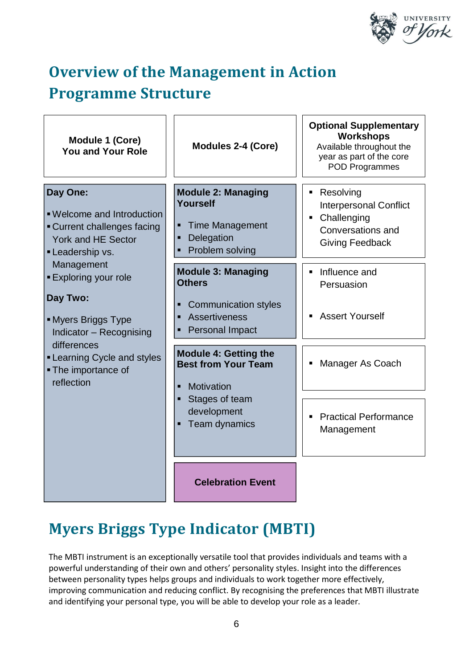

# **Overview of the Management in Action Programme Structure**

| Module 1 (Core)<br><b>You and Your Role</b>                                                                        | <b>Modules 2-4 (Core)</b>                                                                                                       | <b>Optional Supplementary</b><br>Workshops<br>Available throughout the<br>year as part of the core<br><b>POD Programmes</b> |
|--------------------------------------------------------------------------------------------------------------------|---------------------------------------------------------------------------------------------------------------------------------|-----------------------------------------------------------------------------------------------------------------------------|
| Day One:<br>. Welcome and Introduction<br>Current challenges facing<br><b>York and HE Sector</b><br>Leadership vs. | <b>Module 2: Managing</b><br>Yourself<br><b>Time Management</b><br>Ξ<br>Delegation<br>Ξ<br>Problem solving                      | Resolving<br><b>Interpersonal Conflict</b><br>Challenging<br>Conversations and<br><b>Giving Feedback</b>                    |
| Management<br><b>Exploring your role</b><br>Day Two:<br>• Myers Briggs Type<br>Indicator - Recognising             | <b>Module 3: Managing</b><br><b>Others</b><br><b>Communication styles</b><br>Ξ<br>Assertiveness<br>Ξ<br><b>Personal Impact</b>  | Influence and<br>Persuasion<br><b>Assert Yourself</b>                                                                       |
| differences<br><b>-Learning Cycle and styles</b><br>• The importance of<br>reflection                              | <b>Module 4: Getting the</b><br><b>Best from Your Team</b><br>Motivation<br>Stages of team<br>п<br>development<br>Team dynamics | Manager As Coach                                                                                                            |
|                                                                                                                    |                                                                                                                                 | <b>Practical Performance</b><br>Management                                                                                  |
|                                                                                                                    | <b>Celebration Event</b>                                                                                                        |                                                                                                                             |

## **Myers Briggs Type Indicator (MBTI)**

The MBTI instrument is an exceptionally versatile tool that provides individuals and teams with a powerful understanding of their own and others' personality styles. Insight into the differences between personality types helps groups and individuals to work together more effectively, improving communication and reducing conflict. By recognising the preferences that MBTI illustrate and identifying your personal type, you will be able to develop your role as a leader.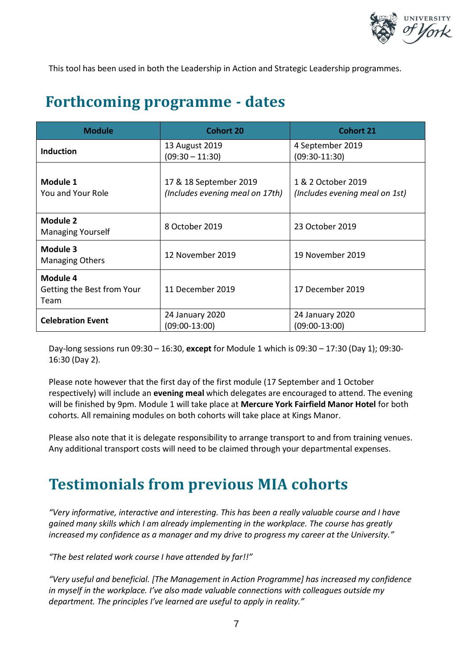

This tool has been used in both the Leadership in Action and Strategic Leadership programmes.

### **Forthcoming programme - dates**

| <b>Module</b>                                  | <b>Cohort 20</b>                                          | <b>Cohort 21</b>                                     |
|------------------------------------------------|-----------------------------------------------------------|------------------------------------------------------|
| <b>Induction</b>                               | 13 August 2019<br>$(09:30 - 11:30)$                       | 4 September 2019<br>$(09:30-11:30)$                  |
| Module 1<br>You and Your Role                  | 17 & 18 September 2019<br>(Includes evening meal on 17th) | 1 & 2 October 2019<br>(Includes evening meal on 1st) |
| Module 2<br><b>Managing Yourself</b>           | 8 October 2019                                            | 23 October 2019                                      |
| Module 3<br><b>Managing Others</b>             | 12 November 2019                                          | 19 November 2019                                     |
| Module 4<br>Getting the Best from Your<br>Team | 11 December 2019                                          | 17 December 2019                                     |
| <b>Celebration Event</b>                       | 24 January 2020<br>(09:00-13:00)                          | 24 January 2020<br>$(09:00-13:00)$                   |

Day-long sessions run 09:30 – 16:30, **except** for Module 1 which is 09:30 – 17:30 (Day 1); 09:30- 16:30 (Day 2).

Please note however that the first day of the first module (17 September and 1 October respectively) will include an **evening meal** which delegates are encouraged to attend. The evening will be finished by 9pm. Module 1 will take place at **Mercure York Fairfield Manor Hotel** for both cohorts. All remaining modules on both cohorts will take place at Kings Manor.

Please also note that it is delegate responsibility to arrange transport to and from training venues. Any additional transport costs will need to be claimed through your departmental expenses.

### **Testimonials from previous MIA cohorts**

*"Very informative, interactive and interesting. This has been a really valuable course and I have gained many skills which I am already implementing in the workplace. The course has greatly increased my confidence as a manager and my drive to progress my career at the University."*

*"The best related work course I have attended by far!!"*

*"Very useful and beneficial. [The Management in Action Programme] has increased my confidence in myself in the workplace. I've also made valuable connections with colleagues outside my department. The principles I've learned are useful to apply in reality."*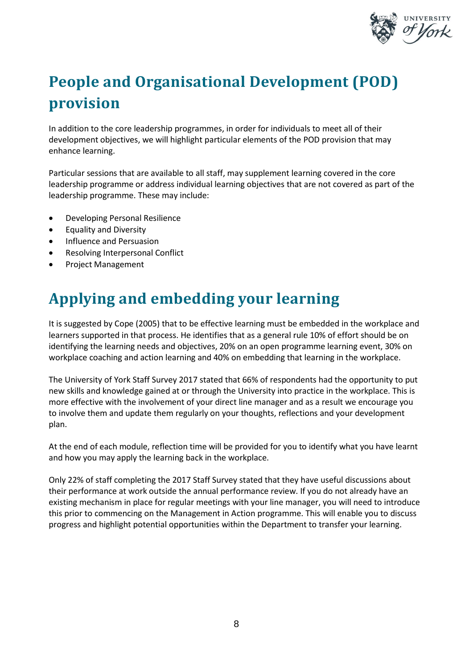

# **People and Organisational Development (POD) provision**

In addition to the core leadership programmes, in order for individuals to meet all of their development objectives, we will highlight particular elements of the POD provision that may enhance learning.

Particular sessions that are available to all staff, may supplement learning covered in the core leadership programme or address individual learning objectives that are not covered as part of the leadership programme. These may include:

- Developing Personal Resilience
- Equality and Diversity
- Influence and Persuasion
- Resolving Interpersonal Conflict
- Project Management

## **Applying and embedding your learning**

It is suggested by Cope (2005) that to be effective learning must be embedded in the workplace and learners supported in that process. He identifies that as a general rule 10% of effort should be on identifying the learning needs and objectives, 20% on an open programme learning event, 30% on workplace coaching and action learning and 40% on embedding that learning in the workplace.

The University of York Staff Survey 2017 stated that 66% of respondents had the opportunity to put new skills and knowledge gained at or through the University into practice in the workplace. This is more effective with the involvement of your direct line manager and as a result we encourage you to involve them and update them regularly on your thoughts, reflections and your development plan.

At the end of each module, reflection time will be provided for you to identify what you have learnt and how you may apply the learning back in the workplace.

Only 22% of staff completing the 2017 Staff Survey stated that they have useful discussions about their performance at work outside the annual performance review. If you do not already have an existing mechanism in place for regular meetings with your line manager, you will need to introduce this prior to commencing on the Management in Action programme. This will enable you to discuss progress and highlight potential opportunities within the Department to transfer your learning.